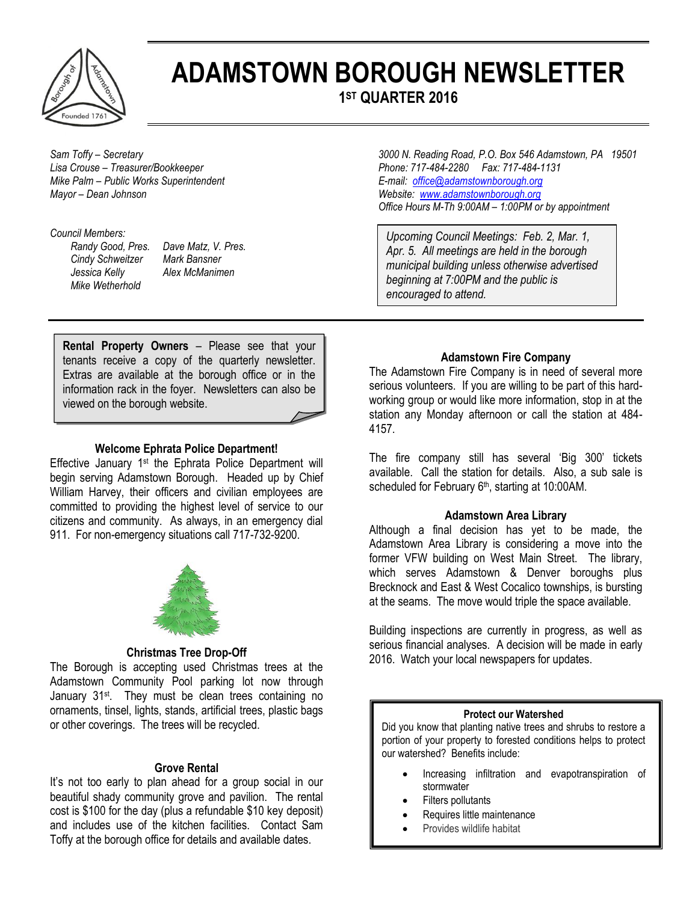

# **ADAMSTOWN BOROUGH NEWSLETTER**

**1 ST QUARTER 2016**

*Mike Palm – Public Works Superintendent* E-mail: *[office@adamstownborough.org](mailto:office@adamstownborough.org) E-mail: office@adamstownborough.org Mayor – Dean Johnson Website: [www.adamstownborough.org](http://www.adamstownborough.org/)*

#### *Council Members:*

*Cindy Schweitzer Mark Bansner Jessica Kelly Alex McManimen Mike Wetherhold*

*Randy Good, Pres. Dave Matz, V. Pres.* 

*Sam Toffy – Secretary 3000 N. Reading Road, P.O. Box 546 Adamstown, PA 19501 Lisa Crouse – Treasurer/Bookkeeper Phone: 717-484-2280 Fax: 717-484-1131 Office Hours M-Th 9:00AM – 1:00PM or by appointment*

> *Upcoming Council Meetings: Feb. 2, Mar. 1, Apr. 5. All meetings are held in the borough municipal building unless otherwise advertised beginning at 7:00PM and the public is encouraged to attend.*

**Rental Property Owners** – Please see that your tenants receive a copy of the quarterly newsletter. Extras are available at the borough office or in the information rack in the foyer. Newsletters can also be viewed on the borough website.

### **Welcome Ephrata Police Department!**

Effective January 1<sup>st</sup> the Ephrata Police Department will begin serving Adamstown Borough. Headed up by Chief William Harvey, their officers and civilian employees are committed to providing the highest level of service to our citizens and community. As always, in an emergency dial 911. For non-emergency situations call 717-732-9200.



## **Christmas Tree Drop-Off**

The Borough is accepting used Christmas trees at the Adamstown Community Pool parking lot now through January 31<sup>st</sup>. They must be clean trees containing no ornaments, tinsel, lights, stands, artificial trees, plastic bags or other coverings. The trees will be recycled.

## **Grove Rental**

It's not too early to plan ahead for a group social in our beautiful shady community grove and pavilion. The rental cost is \$100 for the day (plus a refundable \$10 key deposit) and includes use of the kitchen facilities. Contact Sam Toffy at the borough office for details and available dates.

## **Adamstown Fire Company**

The Adamstown Fire Company is in need of several more serious volunteers. If you are willing to be part of this hardworking group or would like more information, stop in at the station any Monday afternoon or call the station at 484- 4157.

The fire company still has several 'Big 300' tickets available. Call the station for details. Also, a sub sale is scheduled for February 6<sup>th</sup>, starting at 10:00AM.

#### **Adamstown Area Library**

Although a final decision has yet to be made, the Adamstown Area Library is considering a move into the former VFW building on West Main Street. The library, which serves Adamstown & Denver boroughs plus Brecknock and East & West Cocalico townships, is bursting at the seams. The move would triple the space available.

Building inspections are currently in progress, as well as serious financial analyses. A decision will be made in early 2016. Watch your local newspapers for updates.

## **Protect our Watershed**

Did you know that planting native trees and shrubs to restore a portion of your property to forested conditions helps to protect our watershed? Benefits include:

- Increasing infiltration and evapotranspiration of stormwater
- Filters pollutants
- Requires little maintenance
- Provides wildlife habitat